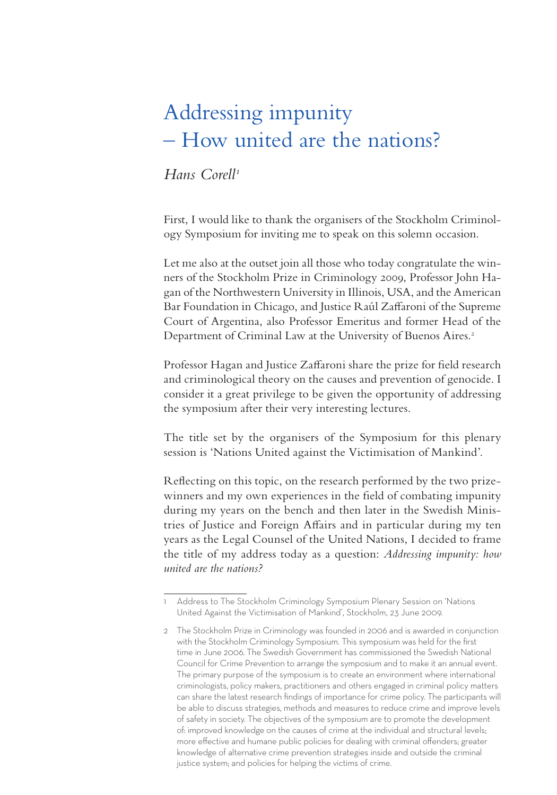# Addressing impunity – How united are the nations?

#### *Hans Corell1*

First, I would like to thank the organisers of the Stockholm Criminology Symposium for inviting me to speak on this solemn occasion.

Let me also at the outset join all those who today congratulate the winners of the Stockholm Prize in Criminology 2009, Professor John Hagan of the Northwestern University in Illinois, USA, and the American Bar Foundation in Chicago, and Justice Raúl Zaffaroni of the Supreme Court of Argentina, also Professor Emeritus and former Head of the Department of Criminal Law at the University of Buenos Aires.<sup>2</sup>

Professor Hagan and Justice Zaffaroni share the prize for field research and criminological theory on the causes and prevention of genocide. I consider it a great privilege to be given the opportunity of addressing the symposium after their very interesting lectures.

The title set by the organisers of the Symposium for this plenary session is 'Nations United against the Victimisation of Mankind'.

Reflecting on this topic, on the research performed by the two prizewinners and my own experiences in the field of combating impunity during my years on the bench and then later in the Swedish Ministries of Justice and Foreign Affairs and in particular during my ten years as the Legal Counsel of the United Nations, I decided to frame the title of my address today as a question: *Addressing impunity: how united are the nations?* 

<sup>1</sup> Address to The Stockholm Criminology Symposium Plenary Session on 'Nations United Against the Victimisation of Mankind', Stockholm, 23 June 2009.

<sup>2</sup> The Stockholm Prize in Criminology was founded in 2006 and is awarded in conjunction with the Stockholm Criminology Symposium. This symposium was held for the first time in June 2006. The Swedish Government has commissioned the Swedish National Council for Crime Prevention to arrange the symposium and to make it an annual event. The primary purpose of the symposium is to create an environment where international criminologists, policy makers, practitioners and others engaged in criminal policy matters can share the latest research findings of importance for crime policy. The participants will be able to discuss strategies, methods and measures to reduce crime and improve levels of safety in society. The objectives of the symposium are to promote the development of: improved knowledge on the causes of crime at the individual and structural levels; more effective and humane public policies for dealing with criminal offenders; greater knowledge of alternative crime prevention strategies inside and outside the criminal justice system; and policies for helping the victims of crime.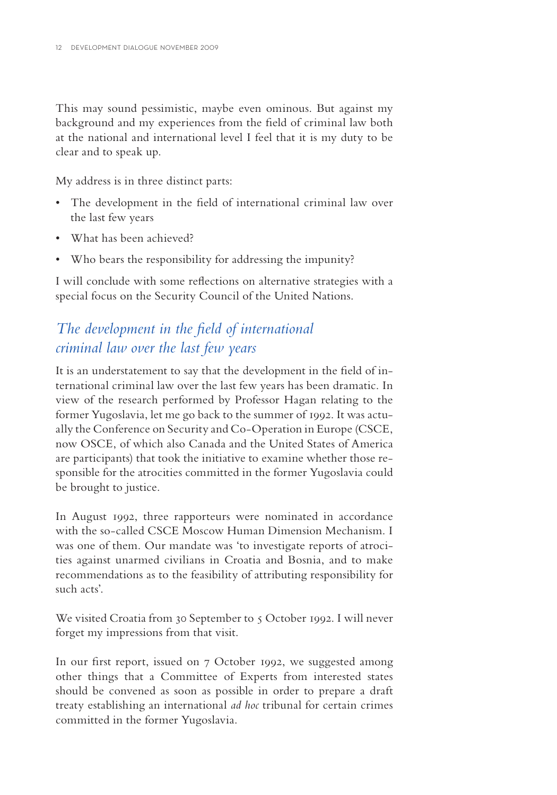This may sound pessimistic, maybe even ominous. But against my background and my experiences from the field of criminal law both at the national and international level I feel that it is my duty to be clear and to speak up.

My address is in three distinct parts:

- The development in the field of international criminal law over the last few years
- What has been achieved?
- Who bears the responsibility for addressing the impunity?

I will conclude with some reflections on alternative strategies with a special focus on the Security Council of the United Nations.

## *The development in the field of international criminal law over the last few years*

It is an understatement to say that the development in the field of international criminal law over the last few years has been dramatic. In view of the research performed by Professor Hagan relating to the former Yugoslavia, let me go back to the summer of 1992. It was actually the Conference on Security and Co-Operation in Europe (CSCE, now OSCE, of which also Canada and the United States of America are participants) that took the initiative to examine whether those responsible for the atrocities committed in the former Yugoslavia could be brought to justice.

In August 1992, three rapporteurs were nominated in accordance with the so-called CSCE Moscow Human Dimension Mechanism. I was one of them. Our mandate was 'to investigate reports of atrocities against unarmed civilians in Croatia and Bosnia, and to make recommendations as to the feasibility of attributing responsibility for such acts'.

We visited Croatia from 30 September to 5 October 1992. I will never forget my impressions from that visit.

In our first report, issued on 7 October 1992, we suggested among other things that a Committee of Experts from interested states should be convened as soon as possible in order to prepare a draft treaty establishing an international *ad hoc* tribunal for certain crimes committed in the former Yugoslavia.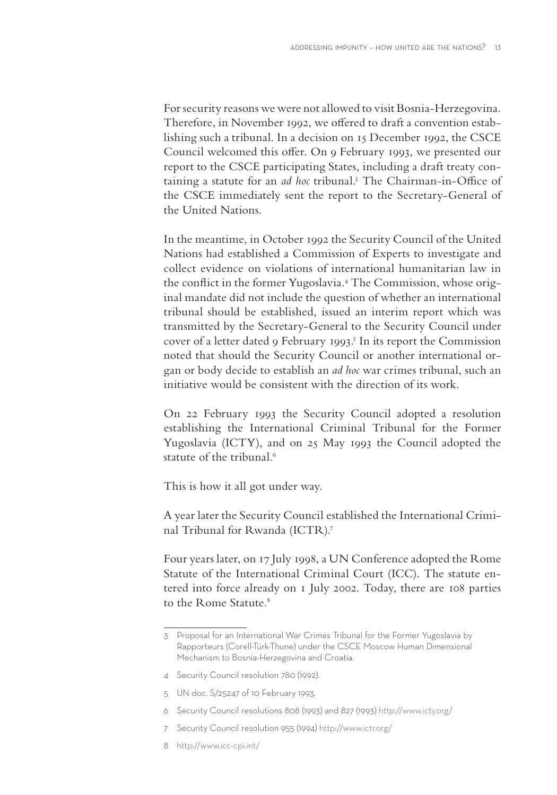For security reasons we were not allowed to visit Bosnia-Herzegovina . Therefore, in November 1992, we offered to draft a convention establishing such a tribunal. In a decision on 15 December 1992, the CSCE Council welcomed this offer. On 9 February 1993, we presented our report to the CSCE participating States, including a draft treaty containing a statute for an *ad hoc* tribunal.<sup>3</sup> The Chairman-in-Office of the CSCE immediately sent the report to the Secretary-General of the United Nations.

In the meantime, in October 1992 the Security Council of the United Nations had established a Commission of Experts to investigate and collect evidence on violations of international humanitarian law in the conflict in the former Yugoslavia.<sup>4</sup> The Commission, whose original mandate did not include the question of whether an international tribunal should be established, issued an interim report which was transmitted by the Secretary-General to the Security Council under cover of a letter dated 9 February 1993.<sup>5</sup> In its report the Commission noted that should the Security Council or another international organ or body decide to establish an *ad hoc* war crimes tribunal, such an initiative would be consistent with the direction of its work.

On 22 February 1993 the Security Council adopted a resolution establishing the International Criminal Tribunal for the Former Yugoslavia (ICTY), and on 25 May 1993 the Council adopted the statute of the tribunal.<sup>6</sup>

This is how it all got under way.

A year later the Security Council established the International Criminal Tribunal for Rwanda (ICTR).7

Four years later, on 17 July 1998, a UN Conference adopted the Rome Statute of the International Criminal Court (ICC). The statute entered into force already on 1 July 2002. Today, there are 108 parties to the Rome Statute.<sup>8</sup>

<sup>3</sup> Proposal for an International War Crimes Tribunal for the Former Yugoslavia by Rapporteurs (Corell-Türk-Thune) under the CSCE Moscow Human Dimensional Mechanism to Bosnia-Herzegovina and Croatia.

<sup>4</sup> Security Council resolution 780 (1992).

<sup>5</sup> UN doc. S/25247 of 10 February 1993.

<sup>6</sup> Security Council resolutions 808 (1993) and 827 (1993) http://www.icty.org/

<sup>7</sup> Security Council resolution 955 (1994) http://www.ictr.org/

<sup>8</sup> http://www.icc-cpi.int/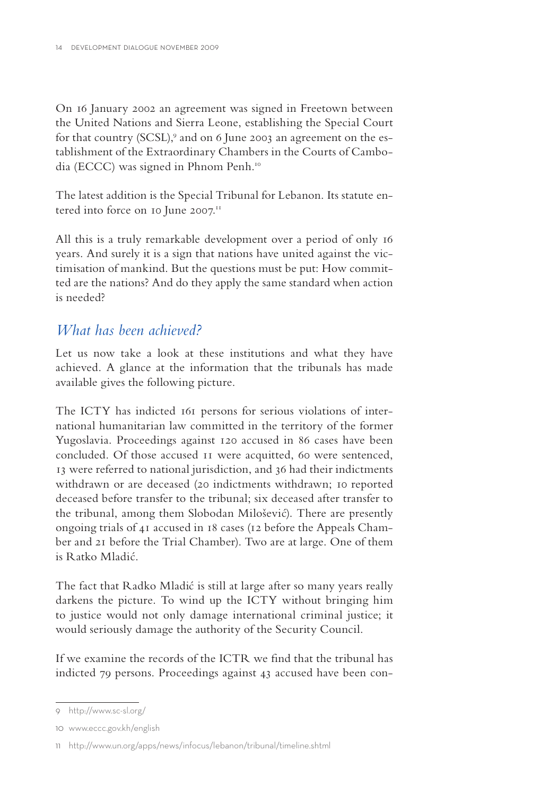On 16 January 2002 an agreement was signed in Freetown between the United Nations and Sierra Leone, establishing the Special Court for that country (SCSL), $^{\circ}$  and on 6 June 2003 an agreement on the establishment of the Extraordinary Chambers in the Courts of Cambodia (ECCC) was signed in Phnom Penh.10

The latest addition is the Special Tribunal for Lebanon. Its statute entered into force on 10 June 2007.<sup>11</sup>

All this is a truly remarkable development over a period of only 16 years. And surely it is a sign that nations have united against the victimisation of mankind. But the questions must be put: How committed are the nations? And do they apply the same standard when action is needed?

### *What has been achieved?*

Let us now take a look at these institutions and what they have achieved. A glance at the information that the tribunals has made available gives the following picture.

The ICTY has indicted 161 persons for serious violations of international humanitarian law committed in the territory of the former Yugoslavia. Proceedings against 120 accused in 86 cases have been concluded. Of those accused 11 were acquitted, 60 were sentenced, 13 were referred to national jurisdiction, and 36 had their indictments withdrawn or are deceased (20 indictments withdrawn; 10 reported deceased before transfer to the tribunal; six deceased after transfer to the tribunal, among them Slobodan Milošević). There are presently ongoing trials of 41 accused in 18 cases (12 before the Appeals Chamber and 21 before the Trial Chamber). Two are at large. One of them is Ratko Mladić.

The fact that Radko Mladić is still at large after so many years really darkens the picture. To wind up the ICTY without bringing him to justice would not only damage international criminal justice; it would seriously damage the authority of the Security Council.

If we examine the records of the ICTR we find that the tribunal has indicted 79 persons. Proceedings against 43 accused have been con-

<sup>9</sup> http://www.sc-sl.org/

<sup>10</sup> www.eccc.gov.kh/english

<sup>11</sup> http://www.un.org/apps/news/infocus/lebanon/tribunal/timeline.shtml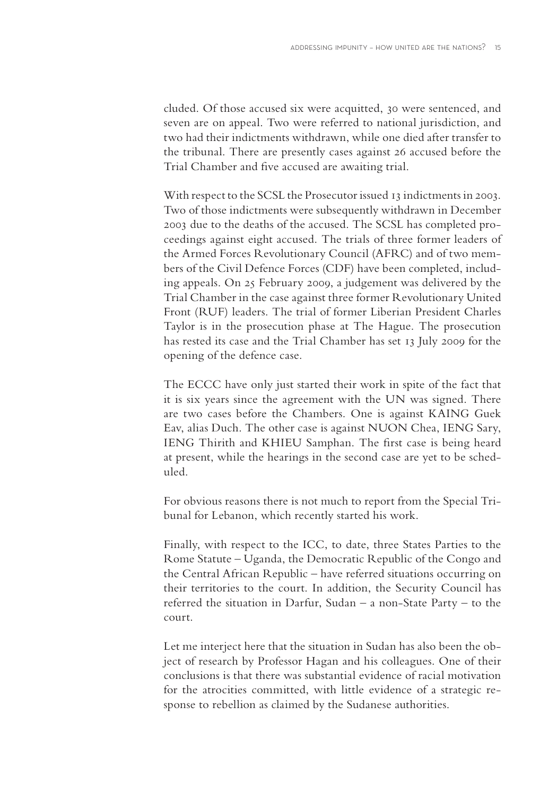cluded. Of those accused six were acquitted, 30 were sentenced, and seven are on appeal. Two were referred to national jurisdiction, and two had their indictments withdrawn, while one died after transfer to the tribunal. There are presently cases against 26 accused before the Trial Chamber and five accused are awaiting trial.

With respect to the SCSL the Prosecutor issued 13 indictments in 2003. Two of those indictments were subsequently withdrawn in December 2003 due to the deaths of the accused. The SCSL has completed proceedings against eight accused. The trials of three former leaders of the Armed Forces Revolutionary Council (AFRC) and of two members of the Civil Defence Forces (CDF) have been completed, including appeals. On 25 February 2009, a judgement was delivered by the Trial Chamber in the case against three former Revolutionary United Front (RUF) leaders. The trial of former Liberian President Charles Taylor is in the prosecution phase at The Hague. The prosecution has rested its case and the Trial Chamber has set 13 July 2009 for the opening of the defence case.

The ECCC have only just started their work in spite of the fact that it is six years since the agreement with the UN was signed. There are two cases before the Chambers. One is against KAING Guek Eav, alias Duch. The other case is against NUON Chea, IENG Sary, IENG Thirith and KHIEU Samphan. The first case is being heard at present, while the hearings in the second case are yet to be scheduled.

For obvious reasons there is not much to report from the Special Tribunal for Lebanon, which recently started his work.

Finally, with respect to the ICC, to date, three States Parties to the Rome Statute – Uganda, the Democratic Republic of the Congo and the Central African Republic – have referred situations occurring on their territories to the court. In addition, the Security Council has referred the situation in Darfur, Sudan – a non-State Party – to the court.

Let me interject here that the situation in Sudan has also been the object of research by Professor Hagan and his colleagues. One of their conclusions is that there was substantial evidence of racial motivation for the atrocities committed, with little evidence of a strategic response to rebellion as claimed by the Sudanese authorities.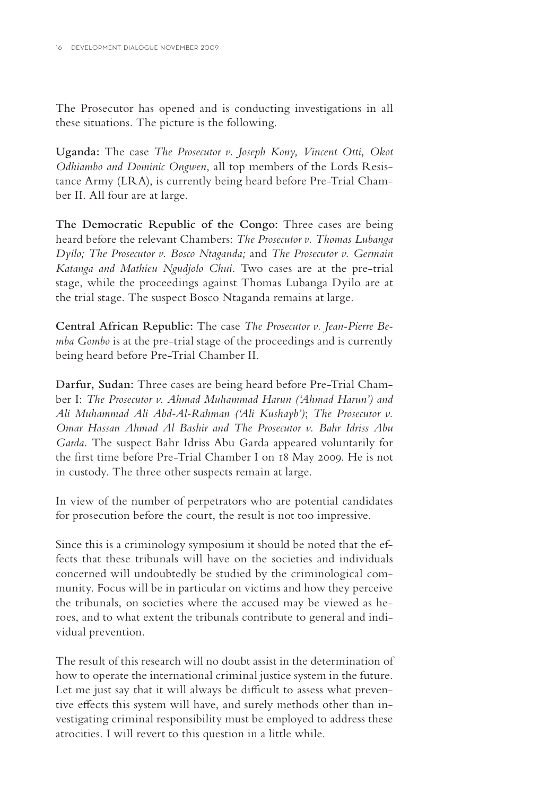The Prosecutor has opened and is conducting investigations in all these situations. The picture is the following.

**Uganda:** The case *The Prosecutor v. Joseph Kony, Vincent Otti, Okot Odhiambo and Dominic Ongwen*, all top members of the Lords Resistance Army (LRA), is currently being heard before Pre-Trial Chamber II. All four are at large.

**The Democratic Republic of the Congo:** Three cases are being heard before the relevant Chambers: *The Prosecutor v. Thomas Lubanga Dyilo; The Prosecutor v. Bosco Ntaganda;* and *The Prosecutor v. Germain Katanga and Mathieu Ngudjolo Chui.* Two cases are at the pre-trial stage, while the proceedings against Thomas Lubanga Dyilo are at the trial stage. The suspect Bosco Ntaganda remains at large.

**Central African Republic:** The case *The Prosecutor v. Jean-Pierre Bemba Gombo* is at the pre-trial stage of the proceedings and is currently being heard before Pre-Trial Chamber II.

**Darfur, Sudan:** Three cases are being heard before Pre-Trial Chamber I: *The Prosecutor v. Ahmad Muhammad Harun ('Ahmad Harun') and Ali Muhammad Ali Abd-Al-Rahman ('Ali Kushayb')*; *The Prosecutor v. Omar Hassan Ahmad Al Bashir and The Prosecutor v. Bahr Idriss Abu Garda.* The suspect Bahr Idriss Abu Garda appeared voluntarily for the first time before Pre-Trial Chamber I on 18 May 2009. He is not in custody. The three other suspects remain at large.

In view of the number of perpetrators who are potential candidates for prosecution before the court, the result is not too impressive.

Since this is a criminology symposium it should be noted that the effects that these tribunals will have on the societies and individuals concerned will undoubtedly be studied by the criminological community. Focus will be in particular on victims and how they perceive the tribunals, on societies where the accused may be viewed as heroes, and to what extent the tribunals contribute to general and individual prevention.

The result of this research will no doubt assist in the determination of how to operate the international criminal justice system in the future. Let me just say that it will always be difficult to assess what preventive effects this system will have, and surely methods other than investigating criminal responsibility must be employed to address these atrocities. I will revert to this question in a little while.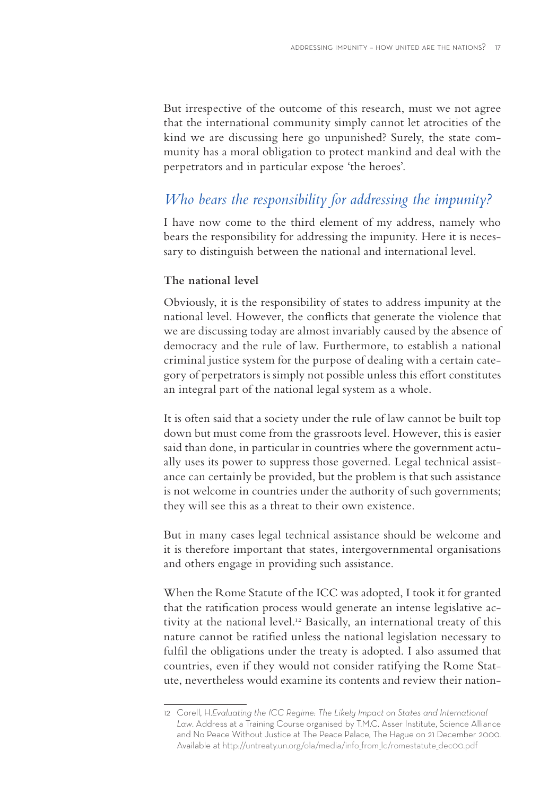But irrespective of the outcome of this research, must we not agree that the international community simply cannot let atrocities of the kind we are discussing here go unpunished? Surely, the state community has a moral obligation to protect mankind and deal with the perpetrators and in particular expose 'the heroes'.

## *Who bears the responsibility for addressing the impunity?*

I have now come to the third element of my address, namely who bears the responsibility for addressing the impunity. Here it is necessary to distinguish between the national and international level.

#### **The national level**

Obviously, it is the responsibility of states to address impunity at the national level. However, the conflicts that generate the violence that we are discussing today are almost invariably caused by the absence of democracy and the rule of law. Furthermore, to establish a national criminal justice system for the purpose of dealing with a certain category of perpetrators is simply not possible unless this effort constitutes an integral part of the national legal system as a whole.

It is often said that a society under the rule of law cannot be built top down but must come from the grassroots level. However, this is easier said than done, in particular in countries where the government actually uses its power to suppress those governed. Legal technical assistance can certainly be provided, but the problem is that such assistance is not welcome in countries under the authority of such governments; they will see this as a threat to their own existence.

But in many cases legal technical assistance should be welcome and it is therefore important that states, intergovernmental organisations and others engage in providing such assistance.

When the Rome Statute of the ICC was adopted, I took it for granted that the ratification process would generate an intense legislative activity at the national level.<sup>12</sup> Basically, an international treaty of this nature cannot be ratified unless the national legislation necessary to fulfil the obligations under the treaty is adopted. I also assumed that countries, even if they would not consider ratifying the Rome Statute, nevertheless would examine its contents and review their nation-

<sup>12</sup> Corell, H.*Evaluating the ICC Regime: The Likely Impact on States and International Law*. Address at a Training Course organised by T.M.C. Asser Institute, Science Alliance and No Peace Without Justice at The Peace Palace, The Hague on 21 December 2000. Available at http://untreaty.un.org/ola/media/info\_from\_lc/romestatute\_dec00.pdf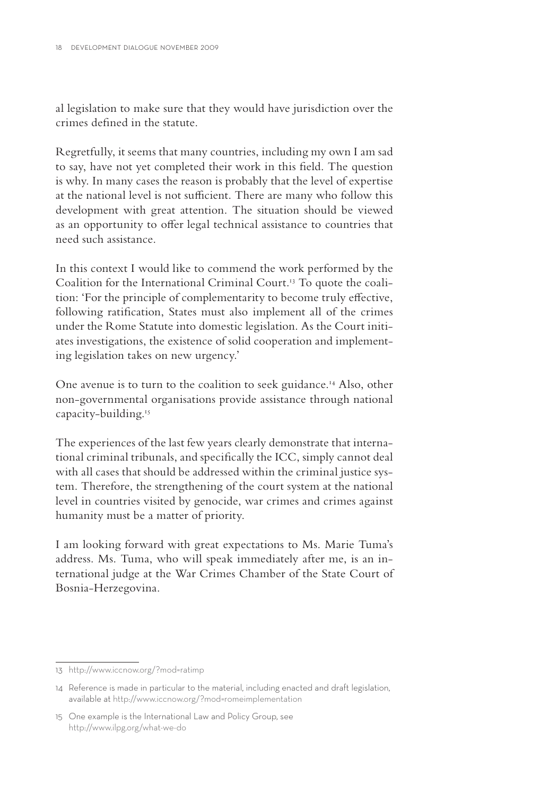al legislation to make sure that they would have jurisdiction over the crimes defined in the statute.

Regretfully, it seems that many countries, including my own I am sad to say, have not yet completed their work in this field. The question is why. In many cases the reason is probably that the level of expertise at the national level is not sufficient. There are many who follow this development with great attention. The situation should be viewed as an opportunity to offer legal technical assistance to countries that need such assistance.

In this context I would like to commend the work performed by the Coalition for the International Criminal Court.13 To quote the coalition: 'For the principle of complementarity to become truly effective, following ratification, States must also implement all of the crimes under the Rome Statute into domestic legislation. As the Court initiates investigations, the existence of solid cooperation and implementing legislation takes on new urgency.'

One avenue is to turn to the coalition to seek guidance.<sup>14</sup> Also, other non-governmental organisations provide assistance through national capacity-building.<sup>15</sup>

The experiences of the last few years clearly demonstrate that international criminal tribunals, and specifically the ICC, simply cannot deal with all cases that should be addressed within the criminal justice system. Therefore, the strengthening of the court system at the national level in countries visited by genocide, war crimes and crimes against humanity must be a matter of priority.

I am looking forward with great expectations to Ms. Marie Tuma's address. Ms. Tuma, who will speak immediately after me, is an international judge at the War Crimes Chamber of the State Court of Bosnia-Herzegovina.

<sup>13</sup> http://www.iccnow.org/?mod=ratimp

<sup>14</sup> Reference is made in particular to the material, including enacted and draft legislation, available at http://www.iccnow.org/?mod=romeimplementation

<sup>15</sup> One example is the International Law and Policy Group, see http://www.ilpg.org/what-we-do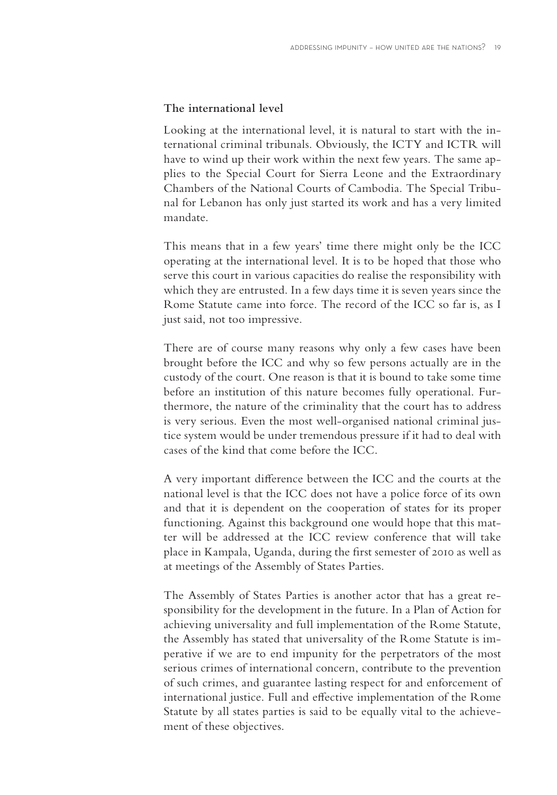#### **The international level**

Looking at the international level, it is natural to start with the international criminal tribunals. Obviously, the ICTY and ICTR will have to wind up their work within the next few years. The same applies to the Special Court for Sierra Leone and the Extraordinary Chambers of the National Courts of Cambodia. The Special Tribunal for Lebanon has only just started its work and has a very limited mandate.

This means that in a few years' time there might only be the ICC operating at the international level. It is to be hoped that those who serve this court in various capacities do realise the responsibility with which they are entrusted. In a few days time it is seven years since the Rome Statute came into force. The record of the ICC so far is, as I just said, not too impressive.

There are of course many reasons why only a few cases have been brought before the ICC and why so few persons actually are in the custody of the court. One reason is that it is bound to take some time before an institution of this nature becomes fully operational. Furthermore, the nature of the criminality that the court has to address is very serious. Even the most well-organised national criminal justice system would be under tremendous pressure if it had to deal with cases of the kind that come before the ICC.

A very important difference between the ICC and the courts at the national level is that the ICC does not have a police force of its own and that it is dependent on the cooperation of states for its proper functioning. Against this background one would hope that this matter will be addressed at the ICC review conference that will take place in Kampala, Uganda, during the first semester of 2010 as well as at meetings of the Assembly of States Parties.

The Assembly of States Parties is another actor that has a great responsibility for the development in the future. In a Plan of Action for achieving universality and full implementation of the Rome Statute, the Assembly has stated that universality of the Rome Statute is imperative if we are to end impunity for the perpetrators of the most serious crimes of international concern, contribute to the prevention of such crimes, and guarantee lasting respect for and enforcement of international justice. Full and effective implementation of the Rome Statute by all states parties is said to be equally vital to the achievement of these objectives.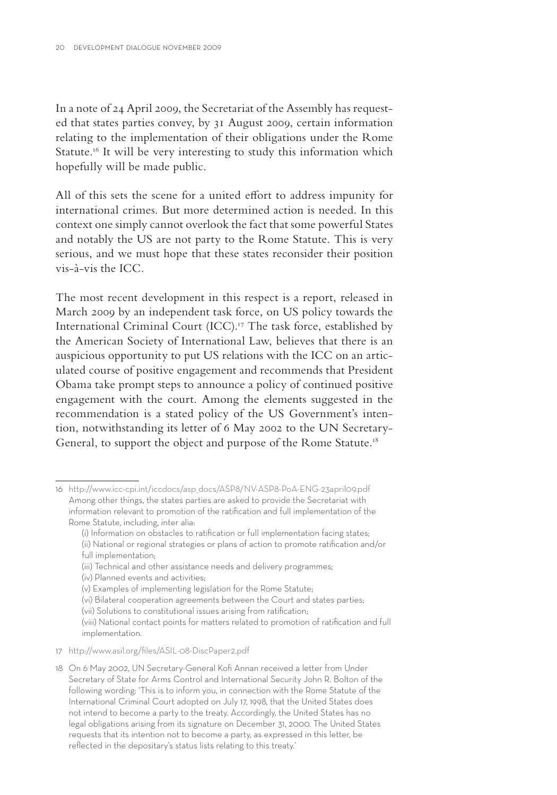In a note of 24 April 2009, the Secretariat of the Assembly has requested that states parties convey, by 31 August 2009, certain information relating to the implementation of their obligations under the Rome Statute.<sup>16</sup> It will be very interesting to study this information which hopefully will be made public.

All of this sets the scene for a united effort to address impunity for international crimes. But more determined action is needed. In this context one simply cannot overlook the fact that some powerful States and notably the US are not party to the Rome Statute. This is very serious, and we must hope that these states reconsider their position vis-à-vis the ICC.

The most recent development in this respect is a report, released in March 2009 by an independent task force, on US policy towards the International Criminal Court (ICC).<sup>17</sup> The task force, established by the American Society of International Law, believes that there is an auspicious opportunity to put US relations with the ICC on an articulated course of positive engagement and recommends that President Obama take prompt steps to announce a policy of continued positive engagement with the court. Among the elements suggested in the recommendation is a stated policy of the US Government's intention, notwithstanding its letter of 6 May 2002 to the UN Secretary-General, to support the object and purpose of the Rome Statute.<sup>18</sup>

- (iii) Technical and other assistance needs and delivery programmes;
- (iv) Planned events and activities;
- (v) Examples of implementing legislation for the Rome Statute;
- (vi) Bilateral cooperation agreements between the Court and states parties;
- (vii) Solutions to constitutional issues arising from ratification;

- 17 http://www.asil.org/files/ASIL-08-DiscPaper2.pdf
- 18 On 6 May 2002, UN Secretary-General Kofi Annan received a letter from Under Secretary of State for Arms Control and International Security John R. Bolton of the following wording: 'This is to inform you, in connection with the Rome Statute of the International Criminal Court adopted on July 17, 1998, that the United States does not intend to become a party to the treaty. Accordingly, the United States has no legal obligations arising from its signature on December 31, 2000. The United States requests that its intention not to become a party, as expressed in this letter, be reflected in the depositary's status lists relating to this treaty.'

<sup>16</sup> http://www.icc-cpi.int/iccdocs/asp\_docs/ASP8/NV-ASP8-PoA-ENG-23april09.pdf Among other things, the states parties are asked to provide the Secretariat with information relevant to promotion of the ratification and full implementation of the Rome Statute, including, inter alia:

<sup>(</sup>i) Information on obstacles to ratification or full implementation facing states; (ii) National or regional strategies or plans of action to promote ratification and/or full implementation;

<sup>(</sup>viii) National contact points for matters related to promotion of ratification and full implementation.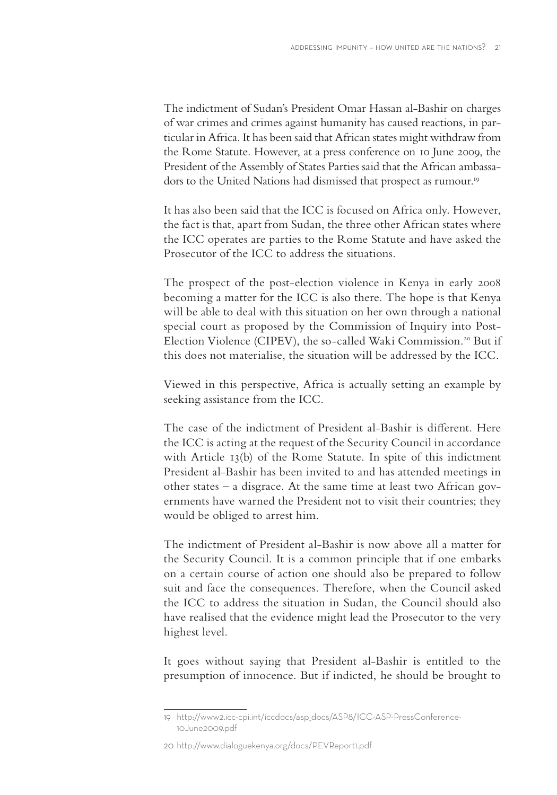The indictment of Sudan's President Omar Hassan al-Bashir on charges of war crimes and crimes against humanity has caused reactions, in particular in Africa. It has been said that African states might withdraw from the Rome Statute. However, at a press conference on 10 June 2009, the President of the Assembly of States Parties said that the African ambassadors to the United Nations had dismissed that prospect as rumour.<sup>19</sup>

It has also been said that the ICC is focused on Africa only. However, the fact is that, apart from Sudan, the three other African states where the ICC operates are parties to the Rome Statute and have asked the Prosecutor of the ICC to address the situations.

The prospect of the post-election violence in Kenya in early 2008 becoming a matter for the ICC is also there. The hope is that Kenya will be able to deal with this situation on her own through a national special court as proposed by the Commission of Inquiry into Post-Election Violence (CIPEV), the so-called Waki Commission.<sup>20</sup> But if this does not materialise, the situation will be addressed by the ICC.

Viewed in this perspective, Africa is actually setting an example by seeking assistance from the ICC.

The case of the indictment of President al-Bashir is different. Here the ICC is acting at the request of the Security Council in accordance with Article 13(b) of the Rome Statute. In spite of this indictment President al-Bashir has been invited to and has attended meetings in other states – a disgrace. At the same time at least two African governments have warned the President not to visit their countries; they would be obliged to arrest him.

The indictment of President al-Bashir is now above all a matter for the Security Council. It is a common principle that if one embarks on a certain course of action one should also be prepared to follow suit and face the consequences. Therefore, when the Council asked the ICC to address the situation in Sudan, the Council should also have realised that the evidence might lead the Prosecutor to the very highest level.

It goes without saying that President al-Bashir is entitled to the presumption of innocence. But if indicted, he should be brought to

<sup>19</sup> http://www2.icc-cpi.int/iccdocs/asp\_docs/ASP8/ICC-ASP-PressConference-10June2009.pdf

<sup>20</sup> http://www.dialoguekenya.org/docs/PEVReport1.pdf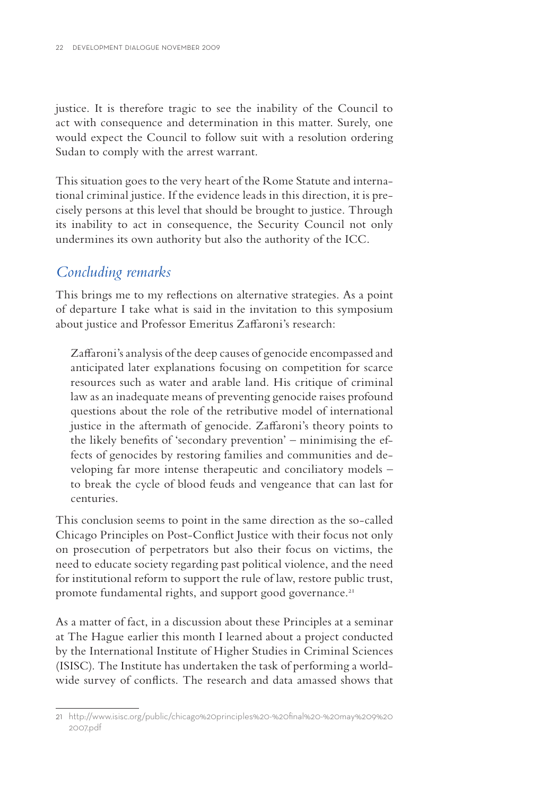justice. It is therefore tragic to see the inability of the Council to act with consequence and determination in this matter. Surely, one would expect the Council to follow suit with a resolution ordering Sudan to comply with the arrest warrant.

This situation goes to the very heart of the Rome Statute and international criminal justice. If the evidence leads in this direction, it is precisely persons at this level that should be brought to justice. Through its inability to act in consequence, the Security Council not only undermines its own authority but also the authority of the ICC.

### *Concluding remarks*

This brings me to my reflections on alternative strategies. As a point of departure I take what is said in the invitation to this symposium about justice and Professor Emeritus Zaffaroni's research:

Zaffaroni's analysis of the deep causes of genocide encompassed and anticipated later explanations focusing on competition for scarce resources such as water and arable land. His critique of criminal law as an inadequate means of preventing genocide raises profound questions about the role of the retributive model of international justice in the aftermath of genocide. Zaffaroni's theory points to the likely benefits of 'secondary prevention' – minimising the effects of genocides by restoring families and communities and developing far more intense therapeutic and conciliatory models – to break the cycle of blood feuds and vengeance that can last for centuries.

This conclusion seems to point in the same direction as the so-called Chicago Principles on Post-Conflict Justice with their focus not only on prosecution of perpetrators but also their focus on victims, the need to educate society regarding past political violence, and the need for institutional reform to support the rule of law, restore public trust, promote fundamental rights, and support good governance.<sup>21</sup>

As a matter of fact, in a discussion about these Principles at a seminar at The Hague earlier this month I learned about a project conducted by the International Institute of Higher Studies in Criminal Sciences (ISISC). The Institute has undertaken the task of performing a worldwide survey of conflicts. The research and data amassed shows that

<sup>21</sup> http://www.isisc.org/public/chicago%20principles%20-%20fi nal%20-%20may%209%20 2007.pdf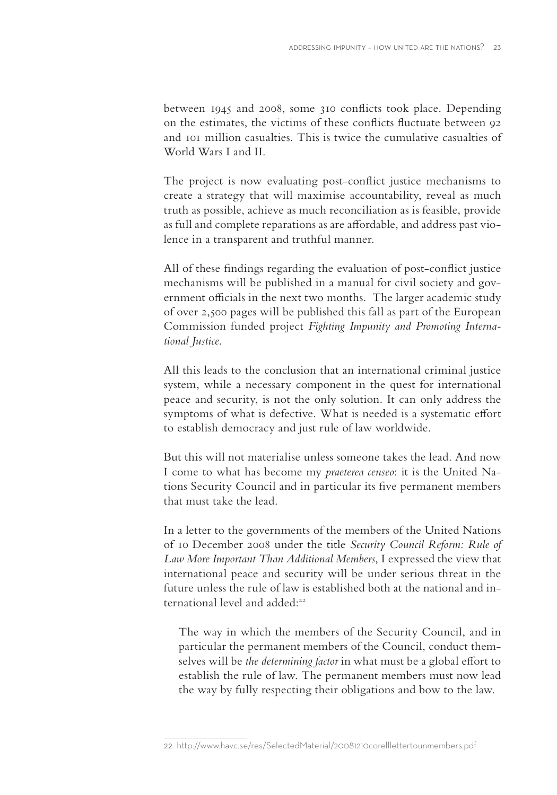between 1945 and 2008, some 310 conflicts took place. Depending on the estimates, the victims of these conflicts fluctuate between 92 and 101 million casualties. This is twice the cumulative casualties of World Wars Land II.

The project is now evaluating post-conflict justice mechanisms to create a strategy that will maximise accountability, reveal as much truth as possible, achieve as much reconciliation as is feasible, provide as full and complete reparations as are affordable, and address past violence in a transparent and truthful manner.

All of these findings regarding the evaluation of post-conflict justice mechanisms will be published in a manual for civil society and government officials in the next two months. The larger academic study of over 2,500 pages will be published this fall as part of the European Commission funded project *Fighting Impunity and Promoting International Justice*.

All this leads to the conclusion that an international criminal justice system, while a necessary component in the quest for international peace and security, is not the only solution. It can only address the symptoms of what is defective. What is needed is a systematic effort to establish democracy and just rule of law worldwide.

But this will not materialise unless someone takes the lead. And now I come to what has become my *praeterea censeo*: it is the United Nations Security Council and in particular its five permanent members that must take the lead.

In a letter to the governments of the members of the United Nations of 10 December 2008 under the title *Security Council Reform: Rule of Law More Important Than Additional Members*, I expressed the view that international peace and security will be under serious threat in the future unless the rule of law is established both at the national and international level and added:22

The way in which the members of the Security Council, and in particular the permanent members of the Council, conduct themselves will be *the determining factor* in what must be a global effort to establish the rule of law. The permanent members must now lead the way by fully respecting their obligations and bow to the law.

<sup>22</sup> http://www.havc.se/res/SelectedMaterial/20081210corelllettertounmembers.pdf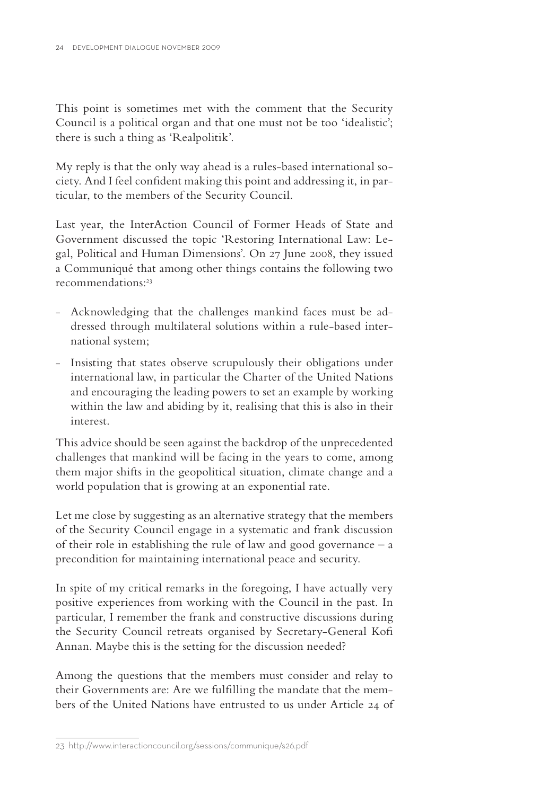This point is sometimes met with the comment that the Security Council is a political organ and that one must not be too 'idealistic'; there is such a thing as 'Realpolitik'.

My reply is that the only way ahead is a rules-based international society. And I feel confident making this point and addressing it, in particular, to the members of the Security Council.

Last year, the InterAction Council of Former Heads of State and Government discussed the topic 'Restoring International Law: Legal, Political and Human Dimensions'. On 27 June 2008, they issued a Communiqué that among other things contains the following two recommendations:<sup>23</sup>

- Acknowledging that the challenges mankind faces must be addressed through multilateral solutions within a rule-based international system;
- Insisting that states observe scrupulously their obligations under international law, in particular the Charter of the United Nations and encouraging the leading powers to set an example by working within the law and abiding by it, realising that this is also in their interest.

This advice should be seen against the backdrop of the unprecedented challenges that mankind will be facing in the years to come, among them major shifts in the geopolitical situation, climate change and a world population that is growing at an exponential rate.

Let me close by suggesting as an alternative strategy that the members of the Security Council engage in a systematic and frank discussion of their role in establishing the rule of law and good governance – a precondition for maintaining international peace and security.

In spite of my critical remarks in the foregoing, I have actually very positive experiences from working with the Council in the past. In particular, I remember the frank and constructive discussions during the Security Council retreats organised by Secretary-General Kofi Annan. Maybe this is the setting for the discussion needed?

Among the questions that the members must consider and relay to their Governments are: Are we fulfilling the mandate that the members of the United Nations have entrusted to us under Article 24 of

<sup>23</sup> http://www.interactioncouncil.org/sessions/communique/s26.pdf